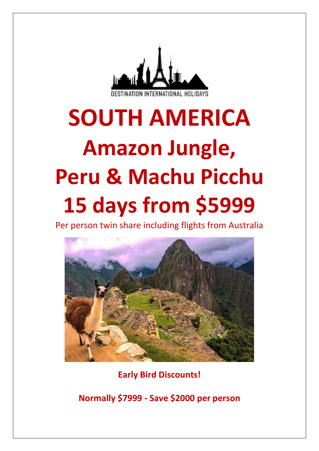

# **SOUTH AMERICA Amazon Jungle, Peru & Machu Picchu 15 days from \$5999**

Per person twin share including flights from Australia



**Early Bird Discounts!**

**Normally \$7999 - Save \$2000 per person**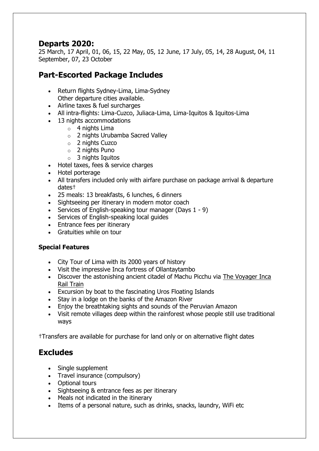# **Departs 2020:**

25 March, 17 April, 01, 06, 15, 22 May, 05, 12 June, 17 July, 05, 14, 28 August, 04, 11 September, 07, 23 October

# **Part-Escorted Package Includes**

- Return flights Sydney-Lima, Lima-Sydney Other departure cities available.
- Airline taxes & fuel surcharges
- All intra-flights: Lima-Cuzco, Juliaca-Lima, Lima-Iquitos & Iquitos-Lima
- 13 nights accommodations
	- $\circ$  4 nights Lima
	- o 2 nights Urubamba Sacred Valley
	- o 2 nights Cuzco
	- o 2 nights Puno
	- $\circ$  3 nights Iquitos
- Hotel taxes, fees & service charges
- Hotel porterage
- All transfers included only with airfare purchase on package arrival & departure dates†
- 25 meals: 13 breakfasts, 6 lunches, 6 dinners
- Sightseeing per itinerary in modern motor coach
- Services of English-speaking tour manager (Days 1 9)
- Services of English-speaking local guides
- Entrance fees per itinerary
- Gratuities while on tour

#### **Special Features**

- City Tour of Lima with its 2000 years of history
- Visit the impressive Inca fortress of Ollantaytambo
- Discover the astonishing ancient citadel of Machu Picchu via The Voyager Inca [Rail Train](https://www.gate1travel.com.au/peru-ecuador-travel/peru-rail.aspx)
- Excursion by boat to the fascinating Uros Floating Islands
- Stay in a lodge on the banks of the Amazon River
- Enjoy the breathtaking sights and sounds of the Peruvian Amazon
- Visit remote villages deep within the rainforest whose people still use traditional ways

†Transfers are available for purchase for land only or on alternative flight dates

# **Excludes**

- Single supplement
- Travel insurance (compulsory)
- Optional tours
- Sightseeing & entrance fees as per itinerary
- Meals not indicated in the itinerary
- Items of a personal nature, such as drinks, snacks, laundry, WiFi etc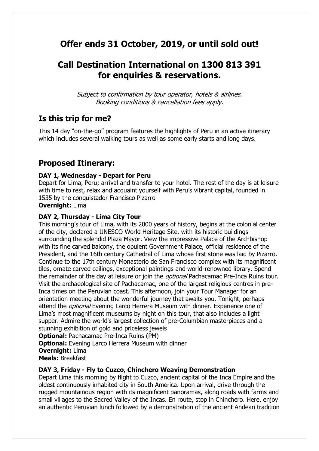# **Offer ends 31 October, 2019, or until sold out!**

# **Call Destination International on 1300 813 391 for enquiries & reservations.**

Subject to confirmation by tour operator, hotels & airlines. Booking conditions & cancellation fees apply.

# **Is this trip for me?**

This 14 day "on-the-go" program features the highlights of Peru in an active itinerary which includes several walking tours as well as some early starts and long days.

# **Proposed Itinerary:**

#### **DAY 1, Wednesday - Depart for Peru**

Depart for Lima, Peru; arrival and transfer to your hotel. The rest of the day is at leisure with time to rest, relax and acquaint yourself with Peru's vibrant capital, founded in 1535 by the conquistador Francisco Pizarro

#### **Overnight:** Lima

#### **DAY 2, Thursday - Lima City Tour**

This morning's tour of Lima, with its 2000 years of history, begins at the colonial center of the city, declared a UNESCO World Heritage Site, with its historic buildings surrounding the splendid Plaza Mayor. View the impressive Palace of the Archbishop with its fine carved balcony, the opulent Government Palace, official residence of the President, and the 16th century Cathedral of Lima whose first stone was laid by Pizarro. Continue to the 17th century Monasterio de San Francisco complex with its magnificent tiles, ornate carved ceilings, exceptional paintings and world-renowned library. Spend the remainder of the day at leisure or join the *optional* Pachacamac Pre-Inca Ruins tour. Visit the archaeological site of Pachacamac, one of the largest religious centres in pre-Inca times on the Peruvian coast. This afternoon, join your Tour Manager for an orientation meeting about the wonderful journey that awaits you. Tonight, perhaps attend the *optional* Evening Larco Herrera Museum with dinner. Experience one of Lima's most magnificent museums by night on this tour, that also includes a light supper. Admire the world's largest collection of pre-Columbian masterpieces and a stunning exhibition of gold and priceless jewels

**Optional:** Pachacamac Pre-Inca Ruins (PM)

**Optional:** Evening Larco Herrera Museum with dinner

**Overnight:** Lima

**Meals:** Breakfast

#### **DAY 3, Friday - Fly to Cuzco, Chinchero Weaving Demonstration**

Depart Lima this morning by flight to Cuzco, ancient capital of the Inca Empire and the oldest continuously inhabited city in South America. Upon arrival, drive through the rugged mountainous region with its magnificent panoramas, along roads with farms and small villages to the Sacred Valley of the Incas. En route, stop in Chinchero. Here, enjoy an authentic Peruvian lunch followed by a demonstration of the ancient Andean tradition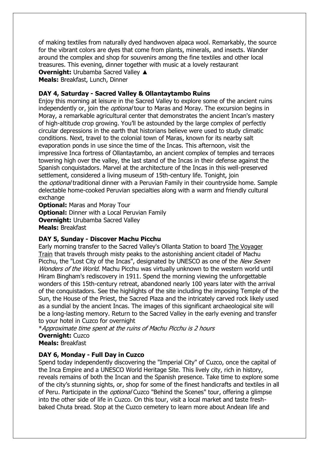of making textiles from naturally dyed handwoven alpaca wool. Remarkably, the source for the vibrant colors are dyes that come from plants, minerals, and insects. Wander around the complex and shop for souvenirs among the fine textiles and other local treasures. This evening, dinner together with music at a lovely restaurant **Overnight:** Urubamba Sacred Valley ▲

**Meals:** Breakfast, Lunch, Dinner

#### **DAY 4, Saturday - Sacred Valley & Ollantaytambo Ruins**

Enjoy this morning at leisure in the Sacred Valley to explore some of the ancient ruins independently or, join the *optional* tour to Maras and Moray. The excursion begins in Moray, a remarkable agricultural center that demonstrates the ancient Incan's mastery of high-altitude crop growing. You'll be astounded by the large complex of perfectly circular depressions in the earth that historians believe were used to study climatic conditions. Next, travel to the colonial town of Maras, known for its nearby salt evaporation ponds in use since the time of the Incas. This afternoon, visit the impressive Inca fortress of Ollantaytambo, an ancient complex of temples and terraces towering high over the valley, the last stand of the Incas in their defense against the Spanish conquistadors. Marvel at the architecture of the Incas in this well-preserved settlement, considered a living museum of 15th-century life. Tonight, join the *optional* traditional dinner with a Peruvian Family in their countryside home. Sample delectable home-cooked Peruvian specialties along with a warm and friendly cultural exchange

**Optional:** Maras and Moray Tour **Optional:** Dinner with a Local Peruvian Family **Overnight:** Urubamba Sacred Valley **Meals:** Breakfast

#### **DAY 5, Sunday - Discover Machu Picchu**

Early morning transfer to the Sacred Valley's Ollanta Station to board [The Voyager](https://www.gate1travel.com.au/peru-ecuador-travel/peru-rail.aspx)  [Train](https://www.gate1travel.com.au/peru-ecuador-travel/peru-rail.aspx) that travels through misty peaks to the astonishing ancient citadel of Machu Picchu, the "Lost City of the Incas", designated by UNESCO as one of the *New Seven* Wonders of the World. Machu Picchu was virtually unknown to the western world until Hiram Bingham's rediscovery in 1911. Spend the morning viewing the unforgettable wonders of this 15th-century retreat, abandoned nearly 100 years later with the arrival of the conquistadors. See the highlights of the site including the imposing Temple of the Sun, the House of the Priest, the Sacred Plaza and the intricately carved rock likely used as a sundial by the ancient Incas. The images of this significant archaeological site will be a long-lasting memory. Return to the Sacred Valley in the early evening and transfer to your hotel in Cuzco for overnight

\*Approximate time spent at the ruins of Machu Picchu is 2 hours **Overnight:** Cuzco **Meals:** Breakfast

#### **DAY 6, Monday - Full Day in Cuzco**

Spend today independently discovering the "Imperial City" of Cuzco, once the capital of the Inca Empire and a UNESCO World Heritage Site. This lively city, rich in history, reveals remains of both the Incan and the Spanish presence. Take time to explore some of the city's stunning sights, or, shop for some of the finest handicrafts and textiles in all of Peru. Participate in the *optional* Cuzco "Behind the Scenes" tour, offering a glimpse into the other side of life in Cuzco. On this tour, visit a local market and taste freshbaked Chuta bread. Stop at the Cuzco cemetery to learn more about Andean life and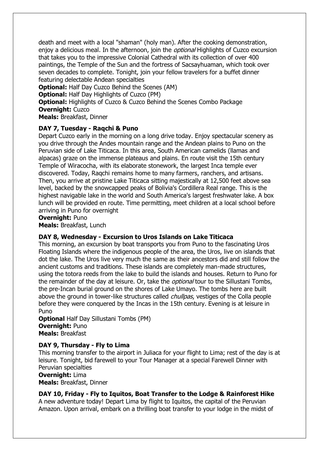death and meet with a local "shaman" (holy man). After the cooking demonstration, enjoy a delicious meal. In the afternoon, join the *optional* Highlights of Cuzco excursion that takes you to the impressive Colonial Cathedral with its collection of over 400 paintings, the Temple of the Sun and the fortress of Sacsayhuaman, which took over seven decades to complete. Tonight, join your fellow travelers for a buffet dinner featuring delectable Andean specialties

**Optional:** Half Day Cuzco Behind the Scenes (AM) **Optional:** Half Day Highlights of Cuzco (PM) **Optional:** Highlights of Cuzco & Cuzco Behind the Scenes Combo Package **Overnight:** Cuzco

**Meals:** Breakfast, Dinner

#### **DAY 7, Tuesday - Raqchi & Puno**

Depart Cuzco early in the morning on a long drive today. Enjoy spectacular scenery as you drive through the Andes mountain range and the Andean plains to Puno on the Peruvian side of Lake Titicaca. In this area, South American camelids (llamas and alpacas) graze on the immense plateaus and plains. En route visit the 15th century Temple of Wiracocha, with its elaborate stonework, the largest Inca temple ever discovered. Today, Raqchi remains home to many farmers, ranchers, and artisans. Then, you arrive at pristine Lake Titicaca sitting majestically at 12,500 feet above sea level, backed by the snowcapped peaks of Bolivia's Cordillera Real range. This is the highest navigable lake in the world and South America's largest freshwater lake. A box lunch will be provided en route. Time permitting, meet children at a local school before arriving in Puno for overnight

**Overnight:** Puno

**Meals:** Breakfast, Lunch

#### **DAY 8, Wednesday - Excursion to Uros Islands on Lake Titicaca**

This morning, an excursion by boat transports you from Puno to the fascinating Uros Floating Islands where the indigenous people of the area, the Uros, live on islands that dot the lake. The Uros live very much the same as their ancestors did and still follow the ancient customs and traditions. These islands are completely man-made structures, using the totora reeds from the lake to build the islands and houses. Return to Puno for the remainder of the day at leisure. Or, take the *optional* tour to the Sillustani Tombs, the pre-Incan burial ground on the shores of Lake Umayo. The tombs here are built above the ground in tower-like structures called *chullpas*, vestiges of the Colla people before they were conquered by the Incas in the 15th century. Evening is at leisure in Puno

**Optional** Half Day Sillustani Tombs (PM) **Overnight:** Puno **Meals:** Breakfast

#### **DAY 9, Thursday - Fly to Lima**

This morning transfer to the airport in Juliaca for your flight to Lima; rest of the day is at leisure. Tonight, bid farewell to your Tour Manager at a special Farewell Dinner with Peruvian specialties

**Overnight:** Lima

**Meals:** Breakfast, Dinner

#### **DAY 10, Friday - Fly to Iquitos, Boat Transfer to the Lodge & Rainforest Hike**

A new adventure today! Depart Lima by flight to Iquitos, the capital of the Peruvian Amazon. Upon arrival, embark on a thrilling boat transfer to your lodge in the midst of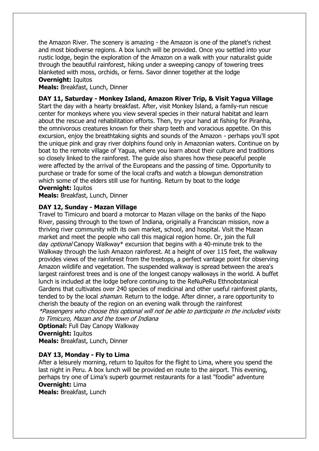the Amazon River. The scenery is amazing - the Amazon is one of the planet's richest and most biodiverse regions. A box lunch will be provided. Once you settled into your rustic lodge, begin the exploration of the Amazon on a walk with your naturalist guide through the beautiful rainforest, hiking under a sweeping canopy of towering trees blanketed with moss, orchids, or ferns. Savor dinner together at the lodge

#### **Overnight: Iquitos**

**Meals:** Breakfast, Lunch, Dinner

**DAY 11, Saturday - Monkey Island, Amazon River Trip, & Visit Yagua Village** Start the day with a hearty breakfast. After, visit Monkey Island, a family-run rescue center for monkeys where you view several species in their natural habitat and learn about the rescue and rehabilitation efforts. Then, try your hand at fishing for Piranha, the omnivorous creatures known for their sharp teeth and voracious appetite. On this excursion, enjoy the breathtaking sights and sounds of the Amazon - perhaps you'll spot the unique pink and gray river dolphins found only in Amazonian waters. Continue on by boat to the remote village of Yagua, where you learn about their culture and traditions so closely linked to the rainforest. The guide also shares how these peaceful people were affected by the arrival of the Europeans and the passing of time. Opportunity to purchase or trade for some of the local crafts and watch a blowgun demonstration which some of the elders still use for hunting. Return by boat to the lodge **Overnight:** Iquitos

**Meals:** Breakfast, Lunch, Dinner

#### **DAY 12, Sunday - Mazan Village**

Travel to Timicuro and board a motorcar to Mazan village on the banks of the Napo River, passing through to the town of Indiana, originally a Franciscan mission, now a thriving river community with its own market, school, and hospital. Visit the Mazan market and meet the people who call this magical region home. Or, join the full day *optional* Canopy Walkway\* excursion that begins with a 40-minute trek to the Walkway through the lush Amazon rainforest. At a height of over 115 feet, the walkway provides views of the rainforest from the treetops, a perfect vantage point for observing Amazon wildlife and vegetation. The suspended walkway is spread between the area's largest rainforest trees and is one of the longest canopy walkways in the world. A buffet lunch is included at the lodge before continuing to the ReNuPeRu Ethnobotanical Gardens that cultivates over 240 species of medicinal and other useful rainforest plants, tended to by the local *shaman*. Return to the lodge. After dinner, a rare opportunity to cherish the beauty of the region on an evening walk through the rainforest

\*Passengers who choose this optional will not be able to participate in the included visits to Timicuro, Mazan and the town of Indiana

**Optional:** Full Day Canopy Walkway **Overnight: Iquitos Meals:** Breakfast, Lunch, Dinner

#### **DAY 13, Monday - Fly to Lima**

After a leisurely morning, return to Iquitos for the flight to Lima, where you spend the last night in Peru. A box lunch will be provided en route to the airport. This evening, perhaps try one of Lima's superb gourmet restaurants for a last "foodie" adventure **Overnight:** Lima

**Meals:** Breakfast, Lunch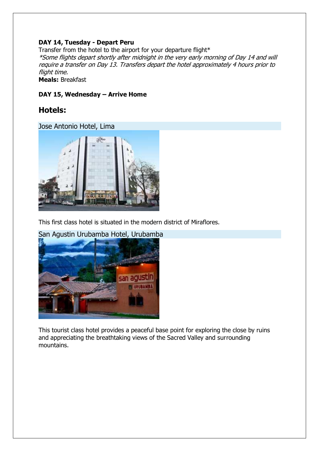#### **DAY 14, Tuesday - Depart Peru**

Transfer from the hotel to the airport for your departure flight\* \*Some flights depart shortly after midnight in the very early morning of Day 14 and will require a transfer on Day 13. Transfers depart the hotel approximately 4 hours prior to flight time. **Meals:** Breakfast

#### **DAY 15, Wednesday – Arrive Home**

### **Hotels:**

Jose Antonio Hotel, Lima



This first class hotel is situated in the modern district of Miraflores.



This tourist class hotel provides a peaceful base point for exploring the close by ruins and appreciating the breathtaking views of the Sacred Valley and surrounding mountains.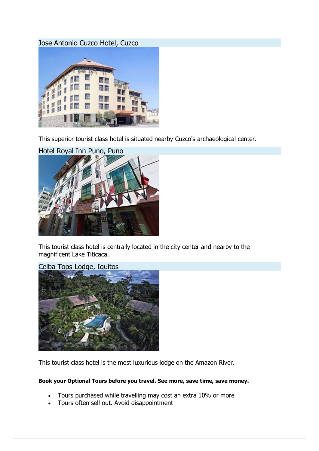#### Jose Antonio Cuzco Hotel, Cuzco



This superior tourist class hotel is situated nearby Cuzco's archaeological center.



This tourist class hotel is centrally located in the city center and nearby to the magnificent Lake Titicaca.

Ceiba Tops Lodge, Iquitos



This tourist class hotel is the most luxurious lodge on the Amazon River.

#### **Book your Optional Tours before you travel. See more, save time, save money.**

- Tours purchased while travelling may cost an extra 10% or more
- Tours often sell out. Avoid disappointment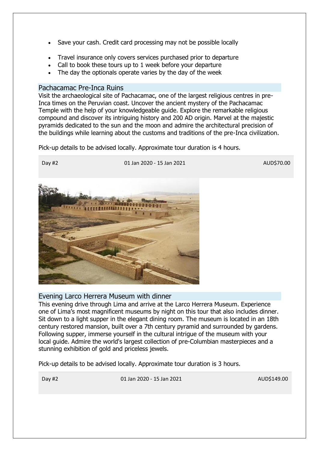- Save your cash. Credit card processing may not be possible locally
- Travel insurance only covers services purchased prior to departure
- Call to book these tours up to 1 week before your departure
- The day the optionals operate varies by the day of the week

#### Pachacamac Pre-Inca Ruins

Visit the archaeological site of Pachacamac, one of the largest religious centres in pre-Inca times on the Peruvian coast. Uncover the ancient mystery of the Pachacamac Temple with the help of your knowledgeable guide. Explore the remarkable religious compound and discover its intriguing history and 200 AD origin. Marvel at the majestic pyramids dedicated to the sun and the moon and admire the architectural precision of the buildings while learning about the customs and traditions of the pre-Inca civilization.

Pick-up details to be advised locally. Approximate tour duration is 4 hours.

Day #2 01 Jan 2020 - 15 Jan 2021 AUD\$70.00



#### Evening Larco Herrera Museum with dinner

This evening drive through Lima and arrive at the Larco Herrera Museum. Experience one of Lima's most magnificent museums by night on this tour that also includes dinner. Sit down to a light supper in the elegant dining room. The museum is located in an 18th century restored mansion, built over a 7th century pyramid and surrounded by gardens. Following supper, immerse yourself in the cultural intrigue of the museum with your local guide. Admire the world's largest collection of pre-Columbian masterpieces and a stunning exhibition of gold and priceless jewels.

Pick-up details to be advised locally. Approximate tour duration is 3 hours.

Day #2 01 Jan 2020 - 15 Jan 2021 AUD\$149.00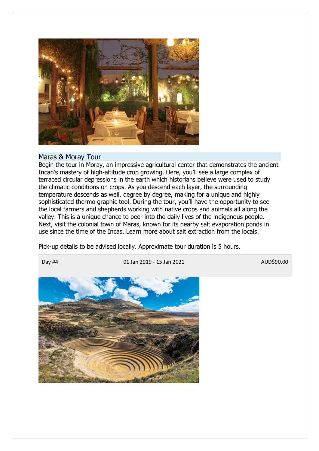

#### Maras & Moray Tour

Begin the tour in Moray, an impressive agricultural center that demonstrates the ancient Incan's mastery of high-altitude crop growing. Here, you'll see a large complex of terraced circular depressions in the earth which historians believe were used to study the climatic conditions on crops. As you descend each layer, the surrounding temperature descends as well, degree by degree, making for a unique and highly sophisticated thermo graphic tool. During the tour, you'll have the opportunity to see the local farmers and shepherds working with native crops and animals all along the valley. This is a unique chance to peer into the daily lives of the indigenous people. Next, visit the colonial town of Maras, known for its nearby salt evaporation ponds in use since the time of the Incas. Learn more about salt extraction from the locals.

Pick-up details to be advised locally. Approximate tour duration is 5 hours.

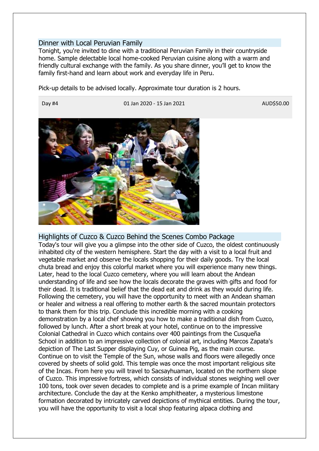#### Dinner with Local Peruvian Family

Tonight, you're invited to dine with a traditional Peruvian Family in their countryside home. Sample delectable local home-cooked Peruvian cuisine along with a warm and friendly cultural exchange with the family. As you share dinner, you'll get to know the family first-hand and learn about work and everyday life in Peru.

Pick-up details to be advised locally. Approximate tour duration is 2 hours.

Day #4 01 Jan 2020 - 15 Jan 2021 AUD\$50.00



Highlights of Cuzco & Cuzco Behind the Scenes Combo Package Today's tour will give you a glimpse into the other side of Cuzco, the oldest continuously inhabited city of the western hemisphere. Start the day with a visit to a local fruit and vegetable market and observe the locals shopping for their daily goods. Try the local chuta bread and enjoy this colorful market where you will experience many new things. Later, head to the local Cuzco cemetery, where you will learn about the Andean understanding of life and see how the locals decorate the graves with gifts and food for their dead. It is traditional belief that the dead eat and drink as they would during life. Following the cemetery, you will have the opportunity to meet with an Andean shaman or healer and witness a real offering to mother earth & the sacred mountain protectors to thank them for this trip. Conclude this incredible morning with a cooking demonstration by a local chef showing you how to make a traditional dish from Cuzco, followed by lunch. After a short break at your hotel, continue on to the impressive Colonial Cathedral in Cuzco which contains over 400 paintings from the Cusqueña School in addition to an impressive collection of colonial art, including Marcos Zapata's depiction of The Last Supper displaying Cuy, or Guinea Pig, as the main course. Continue on to visit the Temple of the Sun, whose walls and floors were allegedly once covered by sheets of solid gold. This temple was once the most important religious site of the Incas. From here you will travel to Sacsayhuaman, located on the northern slope of Cuzco. This impressive fortress, which consists of individual stones weighing well over 100 tons, took over seven decades to complete and is a prime example of Incan military architecture. Conclude the day at the Kenko amphitheater, a mysterious limestone formation decorated by intricately carved depictions of mythical entities. During the tour, you will have the opportunity to visit a local shop featuring alpaca clothing and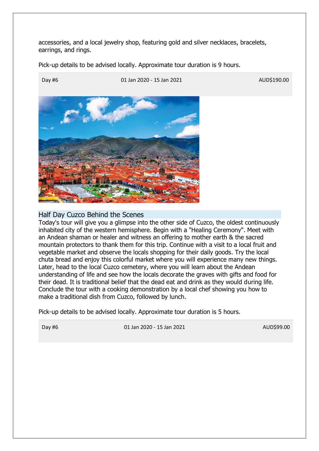accessories, and a local jewelry shop, featuring gold and silver necklaces, bracelets, earrings, and rings.

Pick-up details to be advised locally. Approximate tour duration is 9 hours.



#### Half Day Cuzco Behind the Scenes

Today's tour will give you a glimpse into the other side of Cuzco, the oldest continuously inhabited city of the western hemisphere. Begin with a "Healing Ceremony". Meet with an Andean shaman or healer and witness an offering to mother earth & the sacred mountain protectors to thank them for this trip. Continue with a visit to a local fruit and vegetable market and observe the locals shopping for their daily goods. Try the local chuta bread and enjoy this colorful market where you will experience many new things. Later, head to the local Cuzco cemetery, where you will learn about the Andean understanding of life and see how the locals decorate the graves with gifts and food for their dead. It is traditional belief that the dead eat and drink as they would during life. Conclude the tour with a cooking demonstration by a local chef showing you how to make a traditional dish from Cuzco, followed by lunch.

Pick-up details to be advised locally. Approximate tour duration is 5 hours.

Day #6 01 Jan 2020 - 15 Jan 2021 AUD\$99.00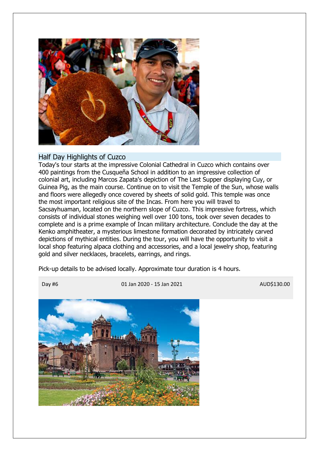

#### Half Day Highlights of Cuzco

Today's tour starts at the impressive Colonial Cathedral in Cuzco which contains over 400 paintings from the Cusqueña School in addition to an impressive collection of colonial art, including Marcos Zapata's depiction of The Last Supper displaying Cuy, or Guinea Pig, as the main course. Continue on to visit the Temple of the Sun, whose walls and floors were allegedly once covered by sheets of solid gold. This temple was once the most important religious site of the Incas. From here you will travel to Sacsayhuaman, located on the northern slope of Cuzco. This impressive fortress, which consists of individual stones weighing well over 100 tons, took over seven decades to complete and is a prime example of Incan military architecture. Conclude the day at the Kenko amphitheater, a mysterious limestone formation decorated by intricately carved depictions of mythical entities. During the tour, you will have the opportunity to visit a local shop featuring alpaca clothing and accessories, and a local jewelry shop, featuring gold and silver necklaces, bracelets, earrings, and rings.

Pick-up details to be advised locally. Approximate tour duration is 4 hours.



Day #6 01 Jan 2020 - 15 Jan 2021 AUD\$130.00

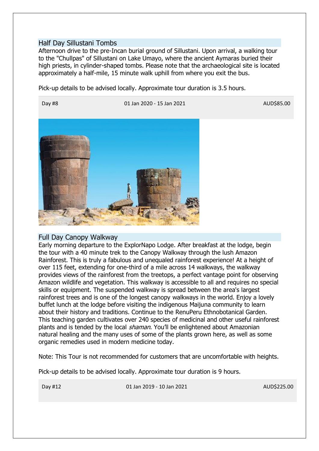#### Half Day Sillustani Tombs

Afternoon drive to the pre-Incan burial ground of Sillustani. Upon arrival, a walking tour to the "Chullpas" of Sillustani on Lake Umayo, where the ancient Aymaras buried their high priests, in cylinder-shaped tombs. Please note that the archaeological site is located approximately a half-mile, 15 minute walk uphill from where you exit the bus.

Pick-up details to be advised locally. Approximate tour duration is 3.5 hours.



#### Full Day Canopy Walkway

Early morning departure to the ExplorNapo Lodge. After breakfast at the lodge, begin the tour with a 40 minute trek to the Canopy Walkway through the lush Amazon Rainforest. This is truly a fabulous and unequaled rainforest experience! At a height of over 115 feet, extending for one-third of a mile across 14 walkways, the walkway provides views of the rainforest from the treetops, a perfect vantage point for observing Amazon wildlife and vegetation. This walkway is accessible to all and requires no special skills or equipment. The suspended walkway is spread between the area's largest rainforest trees and is one of the longest canopy walkways in the world. Enjoy a lovely buffet lunch at the lodge before visiting the indigenous Maijuna community to learn about their history and traditions. Continue to the RenuPeru Ethnobotanical Garden. This teaching garden cultivates over 240 species of medicinal and other useful rainforest plants and is tended by the local *shaman*. You'll be enlightened about Amazonian natural healing and the many uses of some of the plants grown here, as well as some organic remedies used in modern medicine today.

Note: This Tour is not recommended for customers that are uncomfortable with heights.

Pick-up details to be advised locally. Approximate tour duration is 9 hours.

Day #12 01 Jan 2019 - 10 Jan 2021 AUD\$225.00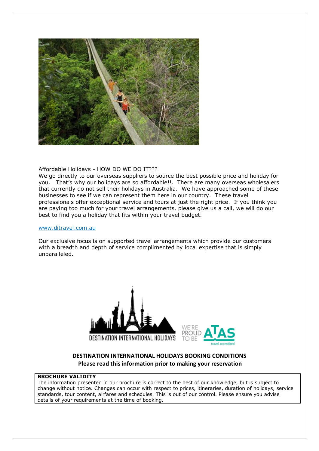

#### Affordable Holidays - HOW DO WE DO IT???

We go directly to our overseas suppliers to source the best possible price and holiday for you. That's why our holidays are so affordable!!. There are many overseas wholesalers that currently do not sell their holidays in Australia. We have approached some of these businesses to see if we can represent them here in our country. These travel professionals offer exceptional service and tours at just the right price. If you think you are paying too much for your travel arrangements, please give us a call, we will do our best to find you a holiday that fits within your travel budget.

#### [www.ditravel.com.au](http://www.ditravel.com.au/)

Our exclusive focus is on supported travel arrangements which provide our customers with a breadth and depth of service complimented by local expertise that is simply unparalleled.





#### **DESTINATION INTERNATIONAL HOLIDAYS BOOKING CONDITIONS Please read this information prior to making your reservation**

#### **BROCHURE VALIDITY**

The information presented in our brochure is correct to the best of our knowledge, but is subject to change without notice. Changes can occur with respect to prices, itineraries, duration of holidays, service standards, tour content, airfares and schedules. This is out of our control. Please ensure you advise details of your requirements at the time of booking.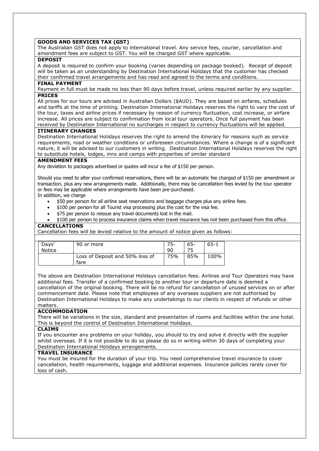#### **GOODS AND SERVICES TAX (GST)**

The Australian GST does not apply to international travel. Any service fees, courier, cancellation and amendment fees are subject to GST. You will be charged GST where applicable.

#### **DEPOSIT**

A deposit is required to confirm your booking (varies depending on package booked). Receipt of deposit will be taken as an understanding by Destination International Holidays that the customer has checked their confirmed travel arrangements and has read and agreed to the terms and conditions.

#### **FINAL PAYMENT**

Payment in full must be made no less than 90 days before travel, unless required earlier by any supplier. **PRICES**

All prices for our tours are advised in Australian Dollars (\$AUD). They are based on airfares, schedules and tariffs at the time of printing. Destination International Holidays reserves the right to vary the cost of the tour, taxes and airline prices if necessary by reason of currency fluctuation, cost increase, or airfare increase. All prices are subject to confirmation from local tour operators. Once full payment has been received by Destination International no surcharges in respect to currency fluctuations will be applied.

#### **ITINERARY CHANGES**

Destination International Holidays reserves the right to amend the itinerary for reasons such as service requirements, road or weather conditions or unforeseen circumstances. Where a change is of a significant nature, it will be advised to our customers in writing. Destination International Holidays reserves the right to substitute hotels, lodges, inns and camps with properties of similar standard

#### **AMENDMENT FEES**

Any deviation to packages advertised or quotes will incur a fee of \$150 per person.

Should you need to alter your confirmed reservations, there will be an automatic fee charged of \$150 per amendment or transaction, plus any new arrangements made. Additionally, there may be cancellation fees levied by the tour operator or fees may be applicable where arrangements have been pre-purchased.

In addition, we charge

- \$50 per person for all airline seat reservations and baggage charges plus any airline fees.
- \$100 per person for all Tourist visa processing plus the cost for the visa fee.
- \$75 per person to reissue any travel documents lost in the mail.
- \$100 per person to process insurance claims when travel insurance has not been purchased from this office.

#### **CANCELLATIONS**

Cancellation fees will be levied relative to the amount of notice given as follows:

| Days'  | 90 or more                              |     | $65 -$ | $65 - 1$ |
|--------|-----------------------------------------|-----|--------|----------|
| Notice |                                         | -90 |        |          |
|        | Loss of Deposit and 50% loss of<br>fare | 75% | 85%    | 100%     |

The above are Destination International Holidays cancellation fees. Airlines and Tour Operators may have additional fees. Transfer of a confirmed booking to another tour or departure date is deemed a cancellation of the original booking. There will be no refund for cancellation of unused services on or after commencement date. Please note that employees of any overseas suppliers are not authorised by Destination International Holidays to make any undertakings to our clients in respect of refunds or other matters.

#### **ACCOMMODATION**

There will be variations in the size, standard and presentation of rooms and facilities within the one hotel. This is beyond the control of Destination International Holidays.

#### **CLAIMS**

If you encounter any problems on your holiday, you should to try and solve it directly with the supplier whilst overseas. If it is not possible to do so please do so in writing within 30 days of completing your Destination International Holidays arrangements.

#### **TRAVEL INSURANCE**

You must be insured for the duration of your trip. You need comprehensive travel insurance to cover cancellation, health requirements, luggage and additional expenses. Insurance policies rarely cover for loss of cash.